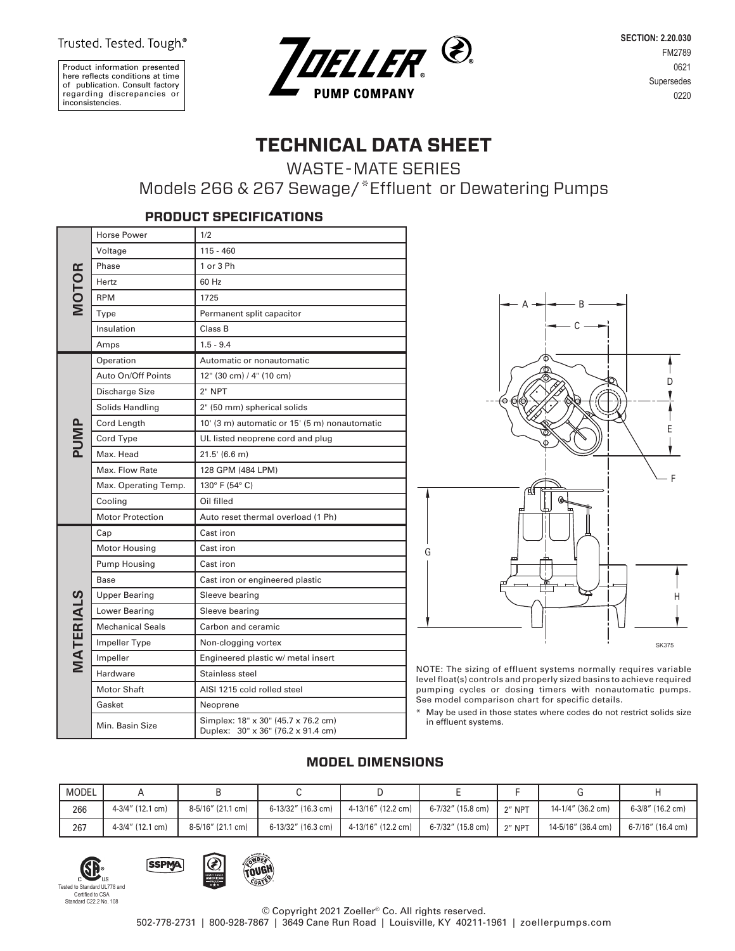Trusted. Tested. Tough.®

Product information presented here reflects conditions at time of publication. Consult factory regarding discrepancies or inconsistencies.



**SECTION: 2.20.030** FM2789 0621 Supersedes 0220

# **TECHNICAL DATA SHEET**

WASTE-MATE SERIES

Models 266 & 267 Sewage/\*Effluent or Dewatering Pumps

|              | <b>Horse Power</b>      | 1/2                                                                       |  |  |  |  |  |  |
|--------------|-------------------------|---------------------------------------------------------------------------|--|--|--|--|--|--|
|              | Voltage                 | $115 - 460$                                                               |  |  |  |  |  |  |
|              | Phase                   | 1 or 3 Ph                                                                 |  |  |  |  |  |  |
|              | Hertz                   | 60 Hz                                                                     |  |  |  |  |  |  |
| <b>MOTOR</b> | <b>RPM</b>              | 1725                                                                      |  |  |  |  |  |  |
|              | Type                    | Permanent split capacitor                                                 |  |  |  |  |  |  |
|              | Insulation              | Class B                                                                   |  |  |  |  |  |  |
|              | Amps                    | $1.5 - 9.4$                                                               |  |  |  |  |  |  |
|              | Operation               | Automatic or nonautomatic                                                 |  |  |  |  |  |  |
|              | Auto On/Off Points      | 12" (30 cm) / 4" (10 cm)                                                  |  |  |  |  |  |  |
|              | Discharge Size          | 2" NPT                                                                    |  |  |  |  |  |  |
|              | Solids Handling         | 2" (50 mm) spherical solids                                               |  |  |  |  |  |  |
|              | Cord Length             | 10' (3 m) automatic or 15' (5 m) nonautomatic                             |  |  |  |  |  |  |
| PUMP         | Cord Type               | UL listed neoprene cord and plug                                          |  |  |  |  |  |  |
|              | Max, Head               | 21.5' (6.6 m)                                                             |  |  |  |  |  |  |
|              | Max. Flow Rate          | 128 GPM (484 LPM)                                                         |  |  |  |  |  |  |
|              | Max. Operating Temp.    | 130° F (54° C)                                                            |  |  |  |  |  |  |
|              | Cooling                 | Oil filled                                                                |  |  |  |  |  |  |
|              | <b>Motor Protection</b> | Auto reset thermal overload (1 Ph)                                        |  |  |  |  |  |  |
|              | Cap                     | Cast iron                                                                 |  |  |  |  |  |  |
|              | Motor Housing           | Cast iron                                                                 |  |  |  |  |  |  |
|              | <b>Pump Housing</b>     | Cast iron                                                                 |  |  |  |  |  |  |
|              | Base                    | Cast iron or engineered plastic                                           |  |  |  |  |  |  |
|              | <b>Upper Bearing</b>    | Sleeve bearing                                                            |  |  |  |  |  |  |
|              | Lower Bearing           | Sleeve bearing                                                            |  |  |  |  |  |  |
|              | <b>Mechanical Seals</b> | Carbon and ceramic                                                        |  |  |  |  |  |  |
| MATERIALS    | Impeller Type           | Non-clogging vortex                                                       |  |  |  |  |  |  |
|              | Impeller                | Engineered plastic w/ metal insert                                        |  |  |  |  |  |  |
|              | Hardware                | Stainless steel                                                           |  |  |  |  |  |  |
|              | Motor Shaft             | AISI 1215 cold rolled steel                                               |  |  |  |  |  |  |
|              | Gasket                  | Neoprene                                                                  |  |  |  |  |  |  |
|              | Min. Basin Size         | Simplex: 18" x 30" (45.7 x 76.2 cm)<br>Duplex: 30" x 36" (76.2 x 91.4 cm) |  |  |  |  |  |  |

**PRODUCT SPECIFICATIONS**



NOTE: The sizing of effluent systems normally requires variable level float(s) controls and properly sized basins to achieve required pumping cycles or dosing timers with nonautomatic pumps. See model comparison chart for specific details.

\* May be used in those states where codes do not restrict solids size in effluent systems.

## **MODEL DIMENSIONS**

| MODEL |                  |                   |                    |                    |                   |        |                    |                   |
|-------|------------------|-------------------|--------------------|--------------------|-------------------|--------|--------------------|-------------------|
| 266   | 4-3/4" (12.1 cm) | 8-5/16" (21.1 cm) | 6-13/32" (16.3 cm) | 4-13/16" (12.2 cm) | 6-7/32" (15.8 cm) | 2" NPT | 14-1/4" (36.2 cm)  | 6-3/8" (16.2 cm)  |
| 267   | 4-3/4" (12.1 cm) | 8-5/16" (21.1 cm) | 6-13/32" (16.3 cm) | 4-13/16" (12.2 cm) | 6-7/32" (15.8 cm) | 2" NPT | 14-5/16" (36.4 cm) | 6-7/16" (16.4 cm) |





**SSPMA**